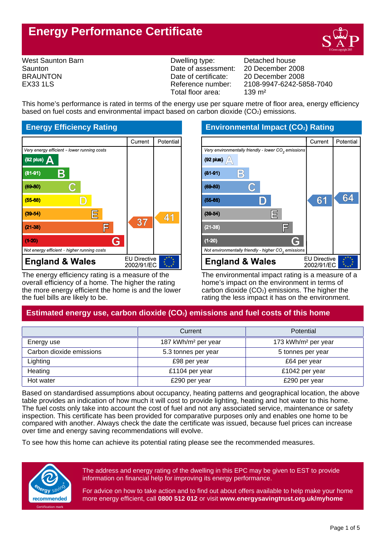# **Energy Performance Certificate**



West Saunton Barn **Disk Communist Communist Communist Communist Communist Communist Communist Communist Communist Communist Communist Communist Communist Communist Communist Communist Communist Communist Communist Communis** Saunton Date of assessment: 20 December 2008 BRAUNTON Date of certificate: 20 December 2008 Total floor area: 139 m<sup>2</sup>

EX33 1LS Reference number: 2108-9947-6242-5858-7040

This home's performance is rated in terms of the energy use per square metre of floor area, energy efficiency based on fuel costs and environmental impact based on carbon dioxide (CO2) emissions.



The energy efficiency rating is a measure of the overall efficiency of a home. The higher the rating the more energy efficient the home is and the lower the fuel bills are likely to be.



The environmental impact rating is a measure of a home's impact on the environment in terms of carbon dioxide  $(CO<sub>2</sub>)$  emissions. The higher the rating the less impact it has on the environment.

# **Estimated energy use, carbon dioxide (CO2) emissions and fuel costs of this home**

|                          | Current                         | <b>Potential</b>                |
|--------------------------|---------------------------------|---------------------------------|
| Energy use               | 187 kWh/m <sup>2</sup> per year | 173 kWh/m <sup>2</sup> per year |
| Carbon dioxide emissions | 5.3 tonnes per year             | 5 tonnes per year               |
| Lighting                 | £98 per year                    | £64 per year                    |
| Heating                  | £1104 per year                  | £1042 per year                  |
| Hot water                | £290 per year                   | £290 per year                   |

Based on standardised assumptions about occupancy, heating patterns and geographical location, the above table provides an indication of how much it will cost to provide lighting, heating and hot water to this home. The fuel costs only take into account the cost of fuel and not any associated service, maintenance or safety inspection. This certificate has been provided for comparative purposes only and enables one home to be compared with another. Always check the date the certificate was issued, because fuel prices can increase over time and energy saving recommendations will evolve.

To see how this home can achieve its potential rating please see the recommended measures.



The address and energy rating of the dwelling in this EPC may be given to EST to provide information on financial help for improving its energy performance.

For advice on how to take action and to find out about offers available to help make your home more energy efficient, call **0800 512 012** or visit **www.energysavingtrust.org.uk/myhome**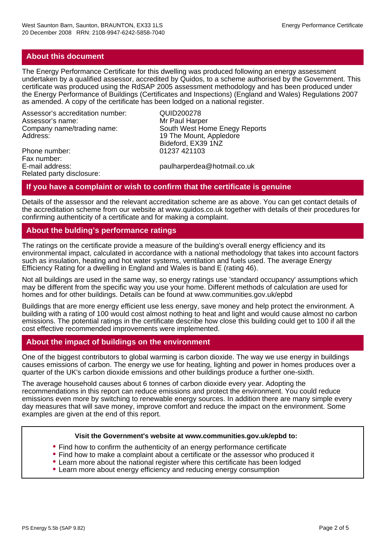## **About this document**

The Energy Performance Certificate for this dwelling was produced following an energy assessment undertaken by a qualified assessor, accredited by Quidos, to a scheme authorised by the Government. This certificate was produced using the RdSAP 2005 assessment methodology and has been produced under the Energy Performance of Buildings (Certificates and Inspections) (England and Wales) Regulations 2007 as amended. A copy of the certificate has been lodged on a national register.

Assessor's accreditation number: QUID200278 Assessor's name: Mr Paul Harper Address: 19 The Mount, Appledore

Phone number: 01237 421103 Fax number:<br>E-mail address: Related party disclosure:

Company name/trading name: South West Home Enegy Reports Bideford, EX39 1NZ

paulharperdea@hotmail.co.uk

### **If you have a complaint or wish to confirm that the certificate is genuine**

Details of the assessor and the relevant accreditation scheme are as above. You can get contact details of the accreditation scheme from our website at www.quidos.co.uk together with details of their procedures for confirming authenticity of a certificate and for making a complaint.

#### **About the bulding's performance ratings**

The ratings on the certificate provide a measure of the building's overall energy efficiency and its environmental impact, calculated in accordance with a national methodology that takes into account factors such as insulation, heating and hot water systems, ventilation and fuels used. The average Energy Efficiency Rating for a dwelling in England and Wales is band E (rating 46).

Not all buildings are used in the same way, so energy ratings use 'standard occupancy' assumptions which may be different from the specific way you use your home. Different methods of calculation are used for homes and for other buildings. Details can be found at www.communities.gov.uk/epbd

Buildings that are more energy efficient use less energy, save money and help protect the environment. A building with a rating of 100 would cost almost nothing to heat and light and would cause almost no carbon emissions. The potential ratings in the certificate describe how close this building could get to 100 if all the cost effective recommended improvements were implemented.

# **About the impact of buildings on the environment**

One of the biggest contributors to global warming is carbon dioxide. The way we use energy in buildings causes emissions of carbon. The energy we use for heating, lighting and power in homes produces over a quarter of the UK's carbon dioxide emissions and other buildings produce a further one-sixth.

The average household causes about 6 tonnes of carbon dioxide every year. Adopting the recommendations in this report can reduce emissions and protect the environment. You could reduce emissions even more by switching to renewable energy sources. In addition there are many simple every day measures that will save money, improve comfort and reduce the impact on the environment. Some examples are given at the end of this report.

#### **Visit the Government's website at www.communities.gov.uk/epbd to:**

- Find how to confirm the authenticity of an energy performance certificate
- Find how to make a complaint about a certificate or the assessor who produced it
- Learn more about the national register where this certificate has been lodged
- Learn more about energy efficiency and reducing energy consumption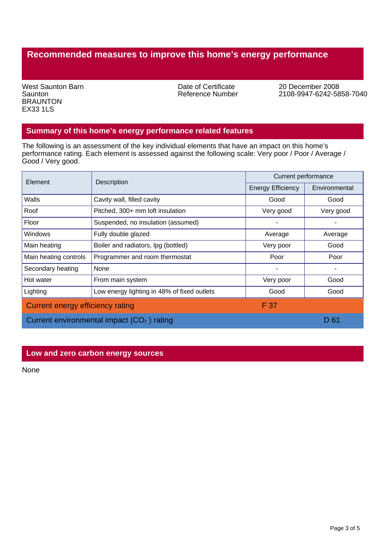# **Recommended measures to improve this home's energy performance**

BRAUNTON EX33 1LS

West Saunton Barn **Date of Certificate** 2008 20 December 2008<br>
Saunton 2108-9947-6242-58 Saunton Reference Number 2108-9947-6242-5858-7040

# **Summary of this home's energy performance related features**

The following is an assessment of the key individual elements that have an impact on this home's performance rating. Each element is assessed against the following scale: Very poor / Poor / Average / Good / Very good.

| Element                                     | Description                                 | Current performance      |               |
|---------------------------------------------|---------------------------------------------|--------------------------|---------------|
|                                             |                                             | <b>Energy Efficiency</b> | Environmental |
| Walls                                       | Cavity wall, filled cavity                  | Good                     | Good          |
| Roof                                        | Pitched, 300+ mm loft insulation            | Very good                | Very good     |
| Floor                                       | Suspended, no insulation (assumed)          |                          |               |
| Windows                                     | Fully double glazed                         | Average                  | Average       |
| Main heating                                | Boiler and radiators, lpg (bottled)         | Very poor                | Good          |
| Main heating controls                       | Programmer and room thermostat              | Poor                     | Poor          |
| Secondary heating                           | None                                        |                          |               |
| Hot water                                   | From main system                            | Very poor                | Good          |
| Lighting                                    | Low energy lighting in 48% of fixed outlets | Good                     | Good          |
| Current energy efficiency rating            |                                             | F 37                     |               |
| Current environmental impact $(CO2)$ rating |                                             |                          | D 61          |

#### **Low and zero carbon energy sources**

None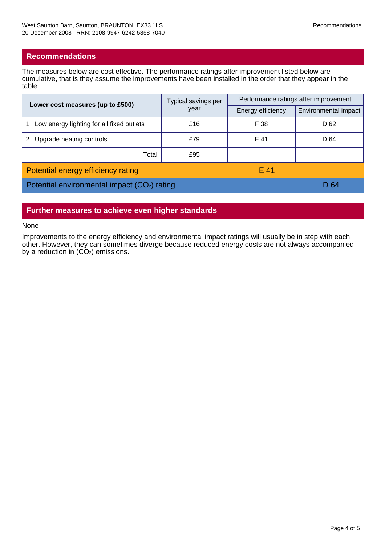# **Recommendations**

The measures below are cost effective. The performance ratings after improvement listed below are cumulative, that is they assume the improvements have been installed in the order that they appear in the table.

| Lower cost measures (up to £500)                         | Typical savings per<br>year | Performance ratings after improvement |                      |
|----------------------------------------------------------|-----------------------------|---------------------------------------|----------------------|
|                                                          |                             | Energy efficiency                     | Environmental impact |
| Low energy lighting for all fixed outlets                | £16                         | F 38                                  | D <sub>62</sub>      |
| Upgrade heating controls                                 | £79                         | E 41                                  | D 64                 |
| Total                                                    | £95                         |                                       |                      |
| Potential energy efficiency rating                       | E 41                        |                                       |                      |
| Potential environmental impact (CO <sub>2</sub> ) rating |                             | D 64                                  |                      |

# **Further measures to achieve even higher standards**

None

Improvements to the energy efficiency and environmental impact ratings will usually be in step with each other. However, they can sometimes diverge because reduced energy costs are not always accompanied by a reduction in  $(CO<sub>2</sub>)$  emissions.